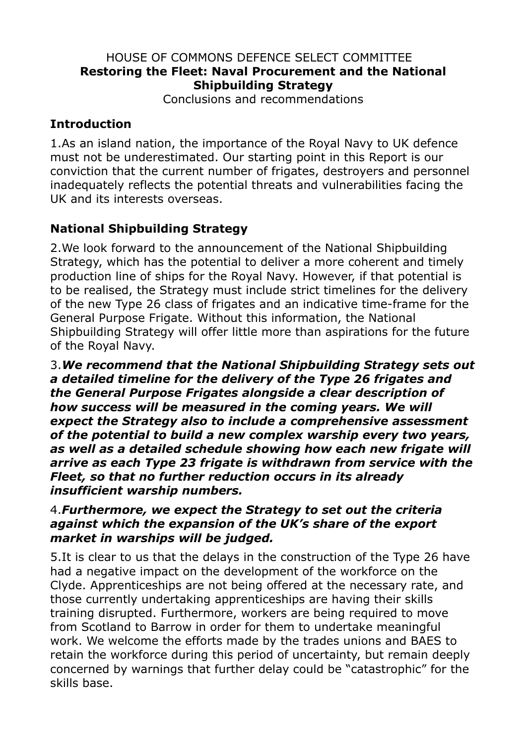#### HOUSE OF COMMONS DEFENCE SELECT COMMITTEE **Restoring the Fleet: Naval Procurement and the National Shipbuilding Strategy**

Conclusions and recommendations

## **Introduction**

1.As an island nation, the importance of the Royal Navy to UK defence must not be underestimated. Our starting point in this Report is our conviction that the current number of frigates, destroyers and personnel inadequately reflects the potential threats and vulnerabilities facing the UK and its interests overseas.

# **National Shipbuilding Strategy**

2.We look forward to the announcement of the National Shipbuilding Strategy, which has the potential to deliver a more coherent and timely production line of ships for the Royal Navy. However, if that potential is to be realised, the Strategy must include strict timelines for the delivery of the new Type 26 class of frigates and an indicative time-frame for the General Purpose Frigate. Without this information, the National Shipbuilding Strategy will offer little more than aspirations for the future of the Royal Navy.

3.*We recommend that the National Shipbuilding Strategy sets out a detailed timeline for the delivery of the Type 26 frigates and the General Purpose Frigates alongside a clear description of how success will be measured in the coming years. We will expect the Strategy also to include a comprehensive assessment of the potential to build a new complex warship every two years, as well as a detailed schedule showing how each new frigate will arrive as each Type 23 frigate is withdrawn from service with the Fleet, so that no further reduction occurs in its already insufficient warship numbers.*

#### 4.*Furthermore, we expect the Strategy to set out the criteria against which the expansion of the UK's share of the export market in warships will be judged.*

5.It is clear to us that the delays in the construction of the Type 26 have had a negative impact on the development of the workforce on the Clyde. Apprenticeships are not being offered at the necessary rate, and those currently undertaking apprenticeships are having their skills training disrupted. Furthermore, workers are being required to move from Scotland to Barrow in order for them to undertake meaningful work. We welcome the efforts made by the trades unions and BAES to retain the workforce during this period of uncertainty, but remain deeply concerned by warnings that further delay could be "catastrophic" for the skills base.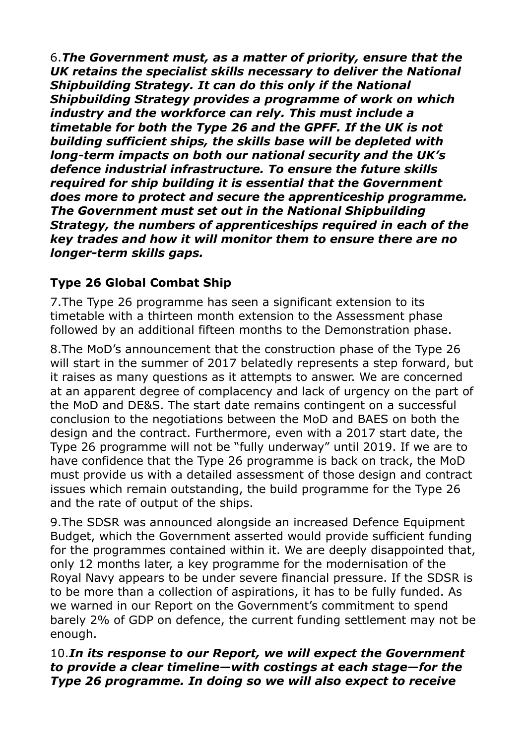6.*The Government must, as a matter of priority, ensure that the UK retains the specialist skills necessary to deliver the National Shipbuilding Strategy. It can do this only if the National Shipbuilding Strategy provides a programme of work on which industry and the workforce can rely. This must include a timetable for both the Type 26 and the GPFF. If the UK is not building sufficient ships, the skills base will be depleted with long-term impacts on both our national security and the UK's defence industrial infrastructure. To ensure the future skills required for ship building it is essential that the Government does more to protect and secure the apprenticeship programme. The Government must set out in the National Shipbuilding Strategy, the numbers of apprenticeships required in each of the key trades and how it will monitor them to ensure there are no longer-term skills gaps.*

# **Type 26 Global Combat Ship**

7.The Type 26 programme has seen a significant extension to its timetable with a thirteen month extension to the Assessment phase followed by an additional fifteen months to the Demonstration phase.

8.The MoD's announcement that the construction phase of the Type 26 will start in the summer of 2017 belatedly represents a step forward, but it raises as many questions as it attempts to answer. We are concerned at an apparent degree of complacency and lack of urgency on the part of the MoD and DE&S. The start date remains contingent on a successful conclusion to the negotiations between the MoD and BAES on both the design and the contract. Furthermore, even with a 2017 start date, the Type 26 programme will not be "fully underway" until 2019. If we are to have confidence that the Type 26 programme is back on track, the MoD must provide us with a detailed assessment of those design and contract issues which remain outstanding, the build programme for the Type 26 and the rate of output of the ships.

9.The SDSR was announced alongside an increased Defence Equipment Budget, which the Government asserted would provide sufficient funding for the programmes contained within it. We are deeply disappointed that, only 12 months later, a key programme for the modernisation of the Royal Navy appears to be under severe financial pressure. If the SDSR is to be more than a collection of aspirations, it has to be fully funded. As we warned in our Report on the Government's commitment to spend barely 2% of GDP on defence, the current funding settlement may not be enough.

#### 10.*In its response to our Report, we will expect the Government to provide a clear timeline—with costings at each stage—for the Type 26 programme. In doing so we will also expect to receive*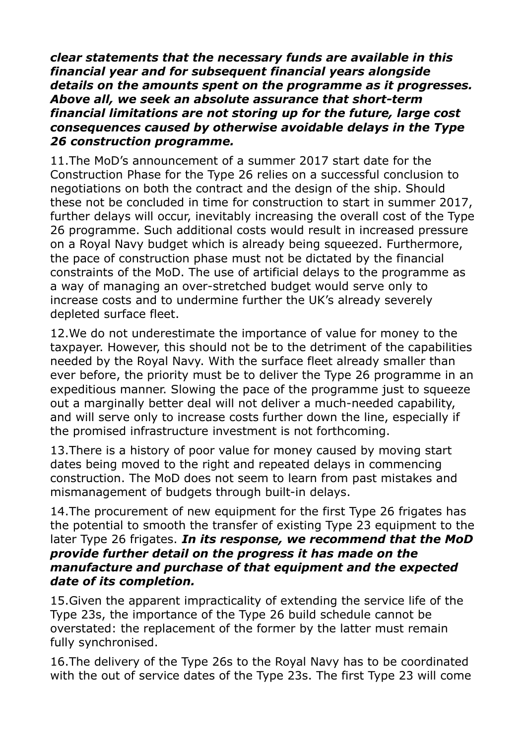*clear statements that the necessary funds are available in this financial year and for subsequent financial years alongside details on the amounts spent on the programme as it progresses. Above all, we seek an absolute assurance that short-term financial limitations are not storing up for the future, large cost consequences caused by otherwise avoidable delays in the Type 26 construction programme.*

11.The MoD's announcement of a summer 2017 start date for the Construction Phase for the Type 26 relies on a successful conclusion to negotiations on both the contract and the design of the ship. Should these not be concluded in time for construction to start in summer 2017, further delays will occur, inevitably increasing the overall cost of the Type 26 programme. Such additional costs would result in increased pressure on a Royal Navy budget which is already being squeezed. Furthermore, the pace of construction phase must not be dictated by the financial constraints of the MoD. The use of artificial delays to the programme as a way of managing an over-stretched budget would serve only to increase costs and to undermine further the UK's already severely depleted surface fleet.

12.We do not underestimate the importance of value for money to the taxpayer. However, this should not be to the detriment of the capabilities needed by the Royal Navy. With the surface fleet already smaller than ever before, the priority must be to deliver the Type 26 programme in an expeditious manner. Slowing the pace of the programme just to squeeze out a marginally better deal will not deliver a much-needed capability, and will serve only to increase costs further down the line, especially if the promised infrastructure investment is not forthcoming.

13.There is a history of poor value for money caused by moving start dates being moved to the right and repeated delays in commencing construction. The MoD does not seem to learn from past mistakes and mismanagement of budgets through built-in delays.

14.The procurement of new equipment for the first Type 26 frigates has the potential to smooth the transfer of existing Type 23 equipment to the later Type 26 frigates. *In its response, we recommend that the MoD provide further detail on the progress it has made on the manufacture and purchase of that equipment and the expected date of its completion.*

15.Given the apparent impracticality of extending the service life of the Type 23s, the importance of the Type 26 build schedule cannot be overstated: the replacement of the former by the latter must remain fully synchronised.

16.The delivery of the Type 26s to the Royal Navy has to be coordinated with the out of service dates of the Type 23s. The first Type 23 will come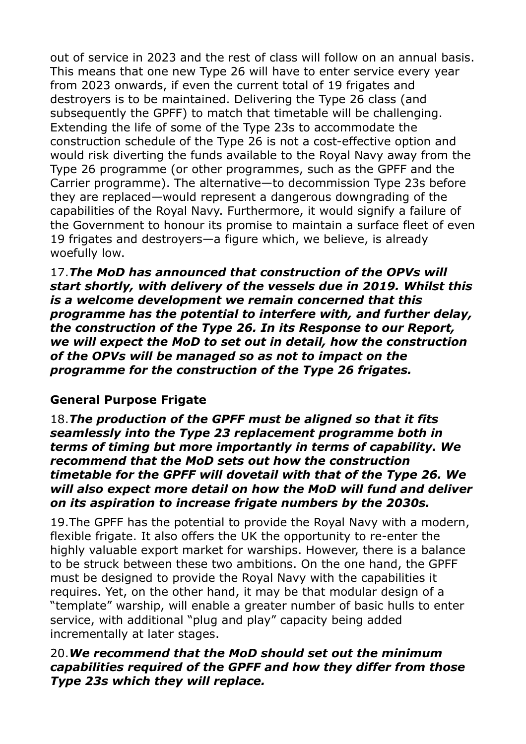out of service in 2023 and the rest of class will follow on an annual basis. This means that one new Type 26 will have to enter service every year from 2023 onwards, if even the current total of 19 frigates and destroyers is to be maintained. Delivering the Type 26 class (and subsequently the GPFF) to match that timetable will be challenging. Extending the life of some of the Type 23s to accommodate the construction schedule of the Type 26 is not a cost-effective option and would risk diverting the funds available to the Royal Navy away from the Type 26 programme (or other programmes, such as the GPFF and the Carrier programme). The alternative—to decommission Type 23s before they are replaced—would represent a dangerous downgrading of the capabilities of the Royal Navy. Furthermore, it would signify a failure of the Government to honour its promise to maintain a surface fleet of even 19 frigates and destroyers—a figure which, we believe, is already woefully low.

17.*The MoD has announced that construction of the OPVs will start shortly, with delivery of the vessels due in 2019. Whilst this is a welcome development we remain concerned that this programme has the potential to interfere with, and further delay, the construction of the Type 26. In its Response to our Report, we will expect the MoD to set out in detail, how the construction of the OPVs will be managed so as not to impact on the programme for the construction of the Type 26 frigates.* 

#### **General Purpose Frigate**

18.*The production of the GPFF must be aligned so that it fits seamlessly into the Type 23 replacement programme both in terms of timing but more importantly in terms of capability. We recommend that the MoD sets out how the construction timetable for the GPFF will dovetail with that of the Type 26. We will also expect more detail on how the MoD will fund and deliver on its aspiration to increase frigate numbers by the 2030s.*

19.The GPFF has the potential to provide the Royal Navy with a modern, flexible frigate. It also offers the UK the opportunity to re-enter the highly valuable export market for warships. However, there is a balance to be struck between these two ambitions. On the one hand, the GPFF must be designed to provide the Royal Navy with the capabilities it requires. Yet, on the other hand, it may be that modular design of a "template" warship, will enable a greater number of basic hulls to enter service, with additional "plug and play" capacity being added incrementally at later stages.

#### 20.*We recommend that the MoD should set out the minimum capabilities required of the GPFF and how they differ from those Type 23s which they will replace.*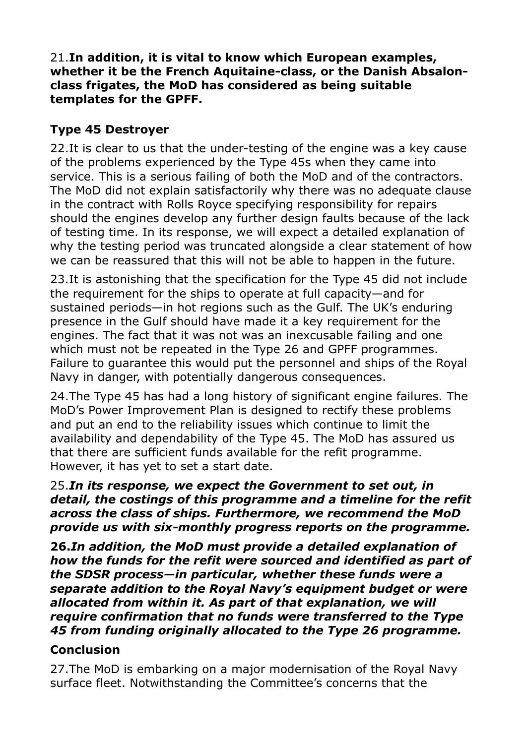#### 21.**In addition, it is vital to know which European examples, whether it be the French Aquitaine-class, or the Danish Absalonclass frigates, the MoD has considered as being suitable templates for the GPFF.**

## **Type 45 Destroyer**

22.It is clear to us that the under-testing of the engine was a key cause of the problems experienced by the Type 45s when they came into service. This is a serious failing of both the MoD and of the contractors. The MoD did not explain satisfactorily why there was no adequate clause in the contract with Rolls Royce specifying responsibility for repairs should the engines develop any further design faults because of the lack of testing time. In its response, we will expect a detailed explanation of why the testing period was truncated alongside a clear statement of how we can be reassured that this will not be able to happen in the future.

23.It is astonishing that the specification for the Type 45 did not include the requirement for the ships to operate at full capacity—and for sustained periods—in hot regions such as the Gulf. The UK's enduring presence in the Gulf should have made it a key requirement for the engines. The fact that it was not was an inexcusable failing and one which must not be repeated in the Type 26 and GPFF programmes. Failure to guarantee this would put the personnel and ships of the Royal Navy in danger, with potentially dangerous consequences.

24.The Type 45 has had a long history of significant engine failures. The MoD's Power Improvement Plan is designed to rectify these problems and put an end to the reliability issues which continue to limit the availability and dependability of the Type 45. The MoD has assured us that there are sufficient funds available for the refit programme. However, it has yet to set a start date.

25.*In its response, we expect the Government to set out, in detail, the costings of this programme and a timeline for the refit across the class of ships. Furthermore, we recommend the MoD provide us with six-monthly progress reports on the programme.*

**26.***In addition, the MoD must provide a detailed explanation of how the funds for the refit were sourced and identified as part of the SDSR process—in particular, whether these funds were a separate addition to the Royal Navy's equipment budget or were allocated from within it. As part of that explanation, we will require confirmation that no funds were transferred to the Type 45 from funding originally allocated to the Type 26 programme.*

### **Conclusion**

27.The MoD is embarking on a major modernisation of the Royal Navy surface fleet. Notwithstanding the Committee's concerns that the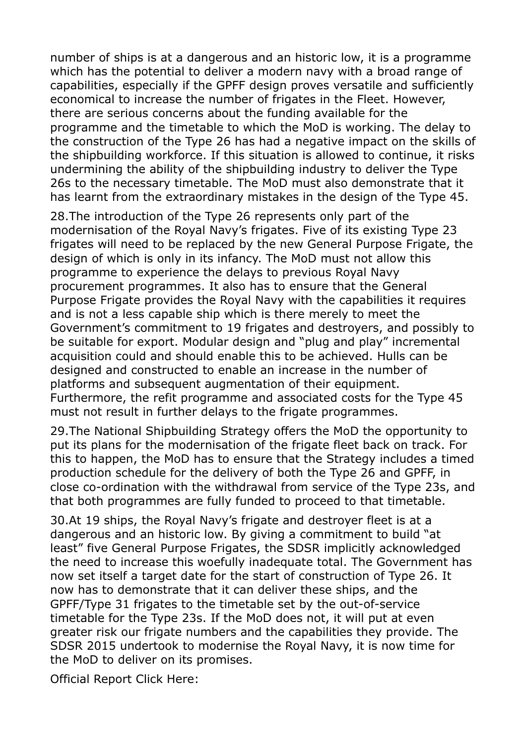number of ships is at a dangerous and an historic low, it is a programme which has the potential to deliver a modern navy with a broad range of capabilities, especially if the GPFF design proves versatile and sufficiently economical to increase the number of frigates in the Fleet. However, there are serious concerns about the funding available for the programme and the timetable to which the MoD is working. The delay to the construction of the Type 26 has had a negative impact on the skills of the shipbuilding workforce. If this situation is allowed to continue, it risks undermining the ability of the shipbuilding industry to deliver the Type 26s to the necessary timetable. The MoD must also demonstrate that it has learnt from the extraordinary mistakes in the design of the Type 45.

28.The introduction of the Type 26 represents only part of the modernisation of the Royal Navy's frigates. Five of its existing Type 23 frigates will need to be replaced by the new General Purpose Frigate, the design of which is only in its infancy. The MoD must not allow this programme to experience the delays to previous Royal Navy procurement programmes. It also has to ensure that the General Purpose Frigate provides the Royal Navy with the capabilities it requires and is not a less capable ship which is there merely to meet the Government's commitment to 19 frigates and destroyers, and possibly to be suitable for export. Modular design and "plug and play" incremental acquisition could and should enable this to be achieved. Hulls can be designed and constructed to enable an increase in the number of platforms and subsequent augmentation of their equipment. Furthermore, the refit programme and associated costs for the Type 45 must not result in further delays to the frigate programmes.

29.The National Shipbuilding Strategy offers the MoD the opportunity to put its plans for the modernisation of the frigate fleet back on track. For this to happen, the MoD has to ensure that the Strategy includes a timed production schedule for the delivery of both the Type 26 and GPFF, in close co-ordination with the withdrawal from service of the Type 23s, and that both programmes are fully funded to proceed to that timetable.

30.At 19 ships, the Royal Navy's frigate and destroyer fleet is at a dangerous and an historic low. By giving a commitment to build "at least" five General Purpose Frigates, the SDSR implicitly acknowledged the need to increase this woefully inadequate total. The Government has now set itself a target date for the start of construction of Type 26. It now has to demonstrate that it can deliver these ships, and the GPFF/Type 31 frigates to the timetable set by the out-of-service timetable for the Type 23s. If the MoD does not, it will put at even greater risk our frigate numbers and the capabilities they provide. The SDSR 2015 undertook to modernise the Royal Navy, it is now time for the MoD to deliver on its promises.

Official Report Click Here: